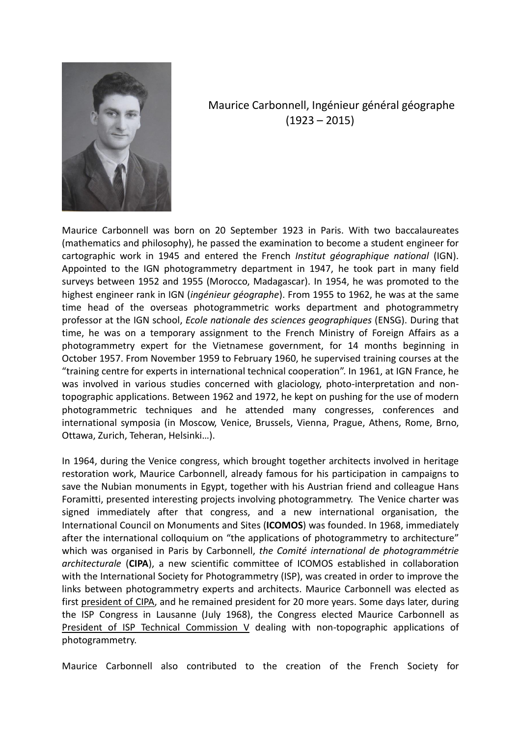

Maurice Carbonnell, Ingénieur général géographe  $(1923 - 2015)$ 

Maurice Carbonnell was born on 20 September 1923 in Paris. With two baccalaureates (mathematics and philosophy), he passed the examination to become a student engineer for cartographic work in 1945 and entered the French *Institut géographique national* (IGN). Appointed to the IGN photogrammetry department in 1947, he took part in many field surveys between 1952 and 1955 (Morocco, Madagascar). In 1954, he was promoted to the highest engineer rank in IGN (*ingénieur géographe*). From 1955 to 1962, he was at the same time head of the overseas photogrammetric works department and photogrammetry professor at the IGN school, *Ecole nationale des sciences geographiques* (ENSG). During that time, he was on a temporary assignment to the French Ministry of Foreign Affairs as a photogrammetry expert for the Vietnamese government, for 14 months beginning in October 1957. From November 1959 to February 1960, he supervised training courses at the "training centre for experts in international technical cooperation". In 1961, at IGN France, he was involved in various studies concerned with glaciology, photo-interpretation and nontopographic applications. Between 1962 and 1972, he kept on pushing for the use of modern photogrammetric techniques and he attended many congresses, conferences and international symposia (in Moscow, Venice, Brussels, Vienna, Prague, Athens, Rome, Brno, Ottawa, Zurich, Teheran, Helsinki…).

In 1964, during the Venice congress, which brought together architects involved in heritage restoration work, Maurice Carbonnell, already famous for his participation in campaigns to save the Nubian monuments in Egypt, together with his Austrian friend and colleague Hans Foramitti, presented interesting projects involving photogrammetry. The Venice charter was signed immediately after that congress, and a new international organisation, the International Council on Monuments and Sites (**ICOMOS**) was founded. In 1968, immediately after the international colloquium on "the applications of photogrammetry to architecture" which was organised in Paris by Carbonnell, *the Comité international de photogrammétrie architecturale* (**CIPA**), a new scientific committee of ICOMOS established in collaboration with the International Society for Photogrammetry (ISP), was created in order to improve the links between photogrammetry experts and architects. Maurice Carbonnell was elected as first president of CIPA, and he remained president for 20 more years. Some days later, during the ISP Congress in Lausanne (July 1968), the Congress elected Maurice Carbonnell as President of ISP Technical Commission V dealing with non-topographic applications of photogrammetry.

Maurice Carbonnell also contributed to the creation of the French Society for